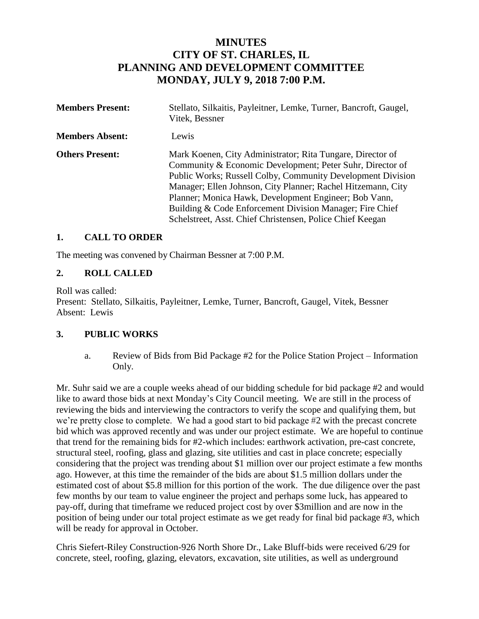# **MINUTES CITY OF ST. CHARLES, IL PLANNING AND DEVELOPMENT COMMITTEE MONDAY, JULY 9, 2018 7:00 P.M.**

| <b>Members Present:</b> | Stellato, Silkaitis, Payleitner, Lemke, Turner, Bancroft, Gaugel,<br>Vitek, Bessner                                                                                                                                                                                                                                                                                                                                                      |
|-------------------------|------------------------------------------------------------------------------------------------------------------------------------------------------------------------------------------------------------------------------------------------------------------------------------------------------------------------------------------------------------------------------------------------------------------------------------------|
| <b>Members Absent:</b>  | Lewis                                                                                                                                                                                                                                                                                                                                                                                                                                    |
| <b>Others Present:</b>  | Mark Koenen, City Administrator; Rita Tungare, Director of<br>Community & Economic Development; Peter Suhr, Director of<br>Public Works; Russell Colby, Community Development Division<br>Manager; Ellen Johnson, City Planner; Rachel Hitzemann, City<br>Planner; Monica Hawk, Development Engineer; Bob Vann,<br>Building & Code Enforcement Division Manager; Fire Chief<br>Schelstreet, Asst. Chief Christensen, Police Chief Keegan |

## **1. CALL TO ORDER**

The meeting was convened by Chairman Bessner at 7:00 P.M.

## **2. ROLL CALLED**

Roll was called:

Present: Stellato, Silkaitis, Payleitner, Lemke, Turner, Bancroft, Gaugel, Vitek, Bessner Absent: Lewis

# **3. PUBLIC WORKS**

a. Review of Bids from Bid Package #2 for the Police Station Project – Information Only.

Mr. Suhr said we are a couple weeks ahead of our bidding schedule for bid package #2 and would like to award those bids at next Monday's City Council meeting. We are still in the process of reviewing the bids and interviewing the contractors to verify the scope and qualifying them, but we're pretty close to complete. We had a good start to bid package #2 with the precast concrete bid which was approved recently and was under our project estimate. We are hopeful to continue that trend for the remaining bids for #2-which includes: earthwork activation, pre-cast concrete, structural steel, roofing, glass and glazing, site utilities and cast in place concrete; especially considering that the project was trending about \$1 million over our project estimate a few months ago. However, at this time the remainder of the bids are about \$1.5 million dollars under the estimated cost of about \$5.8 million for this portion of the work. The due diligence over the past few months by our team to value engineer the project and perhaps some luck, has appeared to pay-off, during that timeframe we reduced project cost by over \$3million and are now in the position of being under our total project estimate as we get ready for final bid package #3, which will be ready for approval in October.

Chris Siefert-Riley Construction-926 North Shore Dr., Lake Bluff-bids were received 6/29 for concrete, steel, roofing, glazing, elevators, excavation, site utilities, as well as underground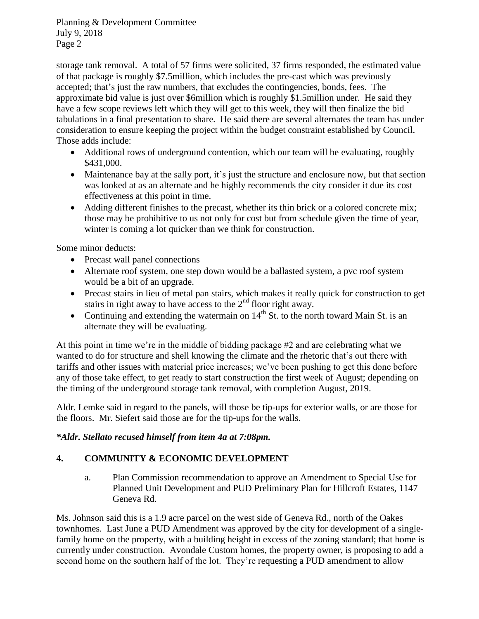storage tank removal. A total of 57 firms were solicited, 37 firms responded, the estimated value of that package is roughly \$7.5million, which includes the pre-cast which was previously accepted; that's just the raw numbers, that excludes the contingencies, bonds, fees. The approximate bid value is just over \$6million which is roughly \$1.5million under. He said they have a few scope reviews left which they will get to this week, they will then finalize the bid tabulations in a final presentation to share. He said there are several alternates the team has under consideration to ensure keeping the project within the budget constraint established by Council. Those adds include:

- Additional rows of underground contention, which our team will be evaluating, roughly \$431,000.
- Maintenance bay at the sally port, it's just the structure and enclosure now, but that section was looked at as an alternate and he highly recommends the city consider it due its cost effectiveness at this point in time.
- Adding different finishes to the precast, whether its thin brick or a colored concrete mix; those may be prohibitive to us not only for cost but from schedule given the time of year, winter is coming a lot quicker than we think for construction.

Some minor deducts:

- Precast wall panel connections
- Alternate roof system, one step down would be a ballasted system, a pvc roof system would be a bit of an upgrade.
- Precast stairs in lieu of metal pan stairs, which makes it really quick for construction to get stairs in right away to have access to the  $2<sup>nd</sup>$  floor right away.
- Continuing and extending the watermain on  $14^{th}$  St. to the north toward Main St. is an alternate they will be evaluating.

At this point in time we're in the middle of bidding package #2 and are celebrating what we wanted to do for structure and shell knowing the climate and the rhetoric that's out there with tariffs and other issues with material price increases; we've been pushing to get this done before any of those take effect, to get ready to start construction the first week of August; depending on the timing of the underground storage tank removal, with completion August, 2019.

Aldr. Lemke said in regard to the panels, will those be tip-ups for exterior walls, or are those for the floors. Mr. Siefert said those are for the tip-ups for the walls.

# *\*Aldr. Stellato recused himself from item 4a at 7:08pm.*

# **4. COMMUNITY & ECONOMIC DEVELOPMENT**

a. Plan Commission recommendation to approve an Amendment to Special Use for Planned Unit Development and PUD Preliminary Plan for Hillcroft Estates, 1147 Geneva Rd.

Ms. Johnson said this is a 1.9 acre parcel on the west side of Geneva Rd., north of the Oakes townhomes. Last June a PUD Amendment was approved by the city for development of a singlefamily home on the property, with a building height in excess of the zoning standard; that home is currently under construction. Avondale Custom homes, the property owner, is proposing to add a second home on the southern half of the lot. They're requesting a PUD amendment to allow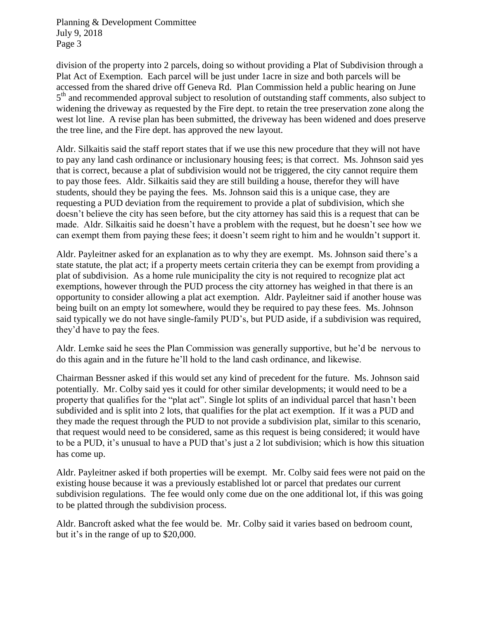division of the property into 2 parcels, doing so without providing a Plat of Subdivision through a Plat Act of Exemption. Each parcel will be just under 1acre in size and both parcels will be accessed from the shared drive off Geneva Rd. Plan Commission held a public hearing on June 5<sup>th</sup> and recommended approval subject to resolution of outstanding staff comments, also subject to widening the driveway as requested by the Fire dept. to retain the tree preservation zone along the west lot line. A revise plan has been submitted, the driveway has been widened and does preserve the tree line, and the Fire dept. has approved the new layout.

Aldr. Silkaitis said the staff report states that if we use this new procedure that they will not have to pay any land cash ordinance or inclusionary housing fees; is that correct. Ms. Johnson said yes that is correct, because a plat of subdivision would not be triggered, the city cannot require them to pay those fees. Aldr. Silkaitis said they are still building a house, therefor they will have students, should they be paying the fees. Ms. Johnson said this is a unique case, they are requesting a PUD deviation from the requirement to provide a plat of subdivision, which she doesn't believe the city has seen before, but the city attorney has said this is a request that can be made. Aldr. Silkaitis said he doesn't have a problem with the request, but he doesn't see how we can exempt them from paying these fees; it doesn't seem right to him and he wouldn't support it.

Aldr. Payleitner asked for an explanation as to why they are exempt. Ms. Johnson said there's a state statute, the plat act; if a property meets certain criteria they can be exempt from providing a plat of subdivision. As a home rule municipality the city is not required to recognize plat act exemptions, however through the PUD process the city attorney has weighed in that there is an opportunity to consider allowing a plat act exemption. Aldr. Payleitner said if another house was being built on an empty lot somewhere, would they be required to pay these fees. Ms. Johnson said typically we do not have single-family PUD's, but PUD aside, if a subdivision was required, they'd have to pay the fees.

Aldr. Lemke said he sees the Plan Commission was generally supportive, but he'd be nervous to do this again and in the future he'll hold to the land cash ordinance, and likewise.

Chairman Bessner asked if this would set any kind of precedent for the future. Ms. Johnson said potentially. Mr. Colby said yes it could for other similar developments; it would need to be a property that qualifies for the "plat act". Single lot splits of an individual parcel that hasn't been subdivided and is split into 2 lots, that qualifies for the plat act exemption. If it was a PUD and they made the request through the PUD to not provide a subdivision plat, similar to this scenario, that request would need to be considered, same as this request is being considered; it would have to be a PUD, it's unusual to have a PUD that's just a 2 lot subdivision; which is how this situation has come up.

Aldr. Payleitner asked if both properties will be exempt. Mr. Colby said fees were not paid on the existing house because it was a previously established lot or parcel that predates our current subdivision regulations. The fee would only come due on the one additional lot, if this was going to be platted through the subdivision process.

Aldr. Bancroft asked what the fee would be. Mr. Colby said it varies based on bedroom count, but it's in the range of up to \$20,000.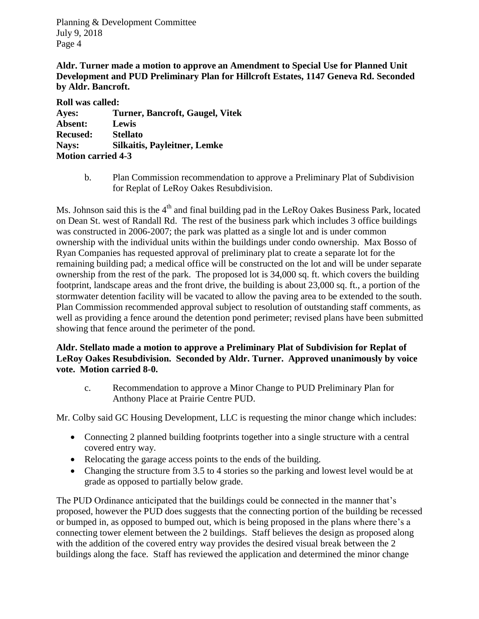**Aldr. Turner made a motion to approve an Amendment to Special Use for Planned Unit Development and PUD Preliminary Plan for Hillcroft Estates, 1147 Geneva Rd. Seconded by Aldr. Bancroft.**

| <b>Roll was called:</b>   |                                     |
|---------------------------|-------------------------------------|
| Ayes:                     | Turner, Bancroft, Gaugel, Vitek     |
| Absent:                   | Lewis                               |
| <b>Recused:</b>           | <b>Stellato</b>                     |
| Nays:                     | <b>Silkaitis, Payleitner, Lemke</b> |
| <b>Motion carried 4-3</b> |                                     |

b. Plan Commission recommendation to approve a Preliminary Plat of Subdivision for Replat of LeRoy Oakes Resubdivision.

Ms. Johnson said this is the  $4<sup>th</sup>$  and final building pad in the LeRoy Oakes Business Park, located on Dean St. west of Randall Rd. The rest of the business park which includes 3 office buildings was constructed in 2006-2007; the park was platted as a single lot and is under common ownership with the individual units within the buildings under condo ownership. Max Bosso of Ryan Companies has requested approval of preliminary plat to create a separate lot for the remaining building pad; a medical office will be constructed on the lot and will be under separate ownership from the rest of the park. The proposed lot is 34,000 sq. ft. which covers the building footprint, landscape areas and the front drive, the building is about 23,000 sq. ft., a portion of the stormwater detention facility will be vacated to allow the paving area to be extended to the south. Plan Commission recommended approval subject to resolution of outstanding staff comments, as well as providing a fence around the detention pond perimeter; revised plans have been submitted showing that fence around the perimeter of the pond.

## **Aldr. Stellato made a motion to approve a Preliminary Plat of Subdivision for Replat of LeRoy Oakes Resubdivision. Seconded by Aldr. Turner. Approved unanimously by voice vote. Motion carried 8-0.**

c. Recommendation to approve a Minor Change to PUD Preliminary Plan for Anthony Place at Prairie Centre PUD.

Mr. Colby said GC Housing Development, LLC is requesting the minor change which includes:

- Connecting 2 planned building footprints together into a single structure with a central covered entry way.
- Relocating the garage access points to the ends of the building.
- Changing the structure from 3.5 to 4 stories so the parking and lowest level would be at grade as opposed to partially below grade.

The PUD Ordinance anticipated that the buildings could be connected in the manner that's proposed, however the PUD does suggests that the connecting portion of the building be recessed or bumped in, as opposed to bumped out, which is being proposed in the plans where there's a connecting tower element between the 2 buildings. Staff believes the design as proposed along with the addition of the covered entry way provides the desired visual break between the 2 buildings along the face. Staff has reviewed the application and determined the minor change